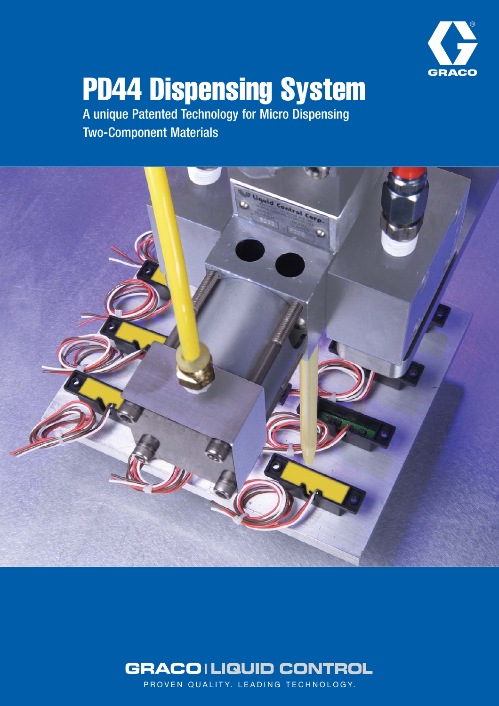

# PD44 Dispensing System

A unique Patented Technology for Micro Dispensing Two-Component Materials





PROVEN QUALITY. LEADING TECHNOLOGY.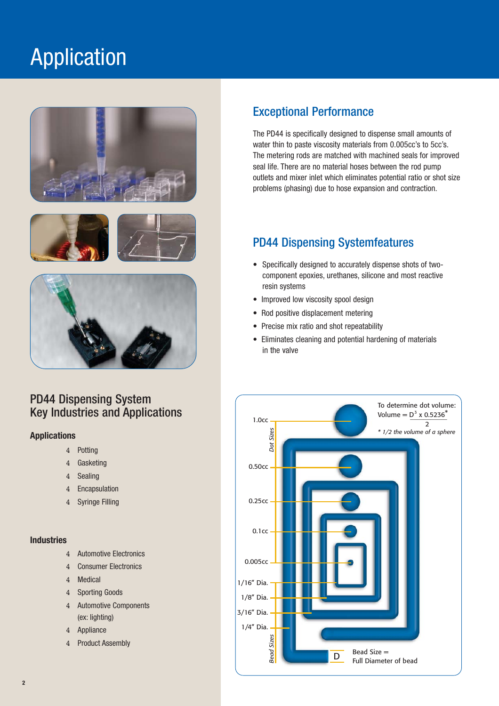# Application







# PD44 Dispensing System Key Industries and Applications

# **Applications**

- 4 Potting
- 4 Gasketing
- 4 Sealing
- 4 Encapsulation
- 4 Syringe Filling

## **Industries**

- 4 Automotive Electronics
- 4 Consumer Electronics
- 4 Medical
- 4 Sporting Goods
- 4 Automotive Components (ex: lighting)
- 4 Appliance
- 4 Product Assembly

# Exceptional Performance

The PD44 is specifically designed to dispense small amounts of water thin to paste viscosity materials from 0.005cc's to 5cc's. The metering rods are matched with machined seals for improved seal life. There are no material hoses between the rod pump outlets and mixer inlet which eliminates potential ratio or shot size problems (phasing) due to hose expansion and contraction.

# PD44 Dispensing Systemfeatures

- Specifically designed to accurately dispense shots of twocomponent epoxies, urethanes, silicone and most reactive resin systems
- Improved low viscosity spool design
- Rod positive displacement metering
- Precise mix ratio and shot repeatability
- Eliminates cleaning and potential hardening of materials in the valve

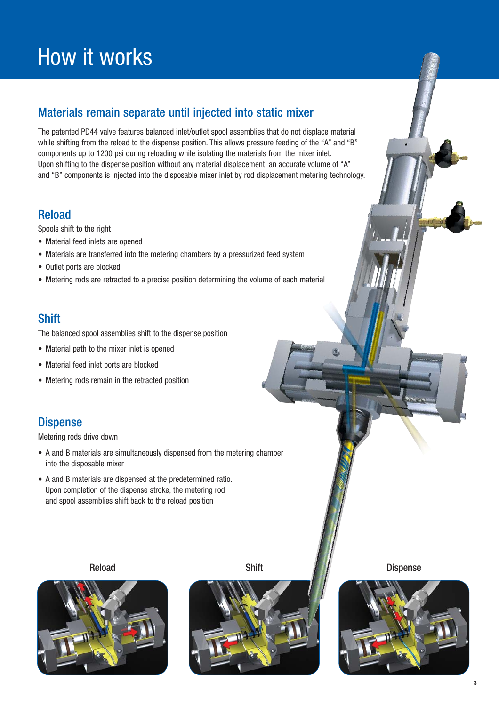# How it works

# Materials remain separate until injected into static mixer

The patented PD44 valve features balanced inlet/outlet spool assemblies that do not displace material while shifting from the reload to the dispense position. This allows pressure feeding of the "A" and "B" components up to 1200 psi during reloading while isolating the materials from the mixer inlet. Upon shifting to the dispense position without any material displacement, an accurate volume of "A" and "B" components is injected into the disposable mixer inlet by rod displacement metering technology.

# Reload

Spools shift to the right

- Material feed inlets are opened
- Materials are transferred into the metering chambers by a pressurized feed system
- Outlet ports are blocked
- Metering rods are retracted to a precise position determining the volume of each material

# **Shift**

The balanced spool assemblies shift to the dispense position

- Material path to the mixer inlet is opened
- Material feed inlet ports are blocked
- Metering rods remain in the retracted position

# **Dispense**

Metering rods drive down

- A and B materials are simultaneously dispensed from the metering chamber into the disposable mixer
- A and B materials are dispensed at the predetermined ratio. Upon completion of the dispense stroke, the metering rod and spool assemblies shift back to the reload position





Reload Shift Dispense

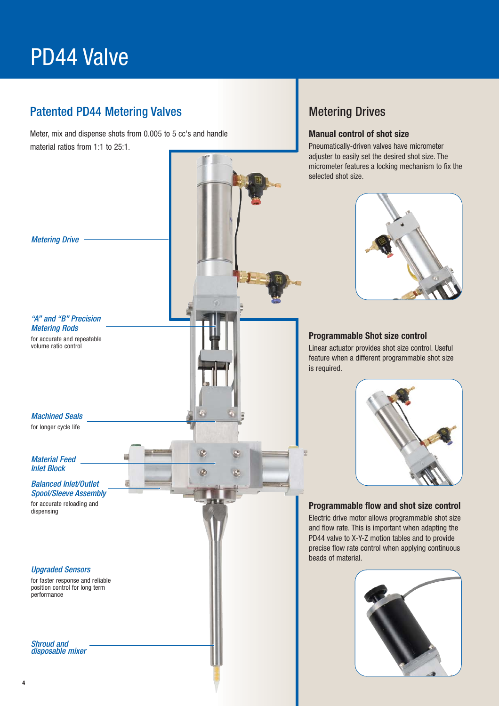# PD44 Valve

# Patented PD44 Metering Valves Metering Drives

Meter, mix and dispense shots from 0.005 to 5 cc's and handle material ratios from 1:1 to 25:1.

Ø

### **Manual control of shot size**

Pneumatically-driven valves have micrometer adjuster to easily set the desired shot size. The micrometer features a locking mechanism to fix the selected shot size.



### **Programmable Shot size control**

Linear actuator provides shot size control. Useful feature when a different programmable shot size is required.



## **Programmable flow and shot size control**

Electric drive motor allows programmable shot size and flow rate. This is important when adapting the PD44 valve to X-Y-Z motion tables and to provide precise flow rate control when applying continuous beads of material.



# Metering Drive

"A" and "B" Precision Metering Rods

for accurate and repeatable volume ratio control

Machined Seals

for longer cycle life

Material Feed Inlet Block

Balanced Inlet/Outlet Spool/Sleeve Assembly

for accurate reloading and dispensing

### Upgraded Sensors

for faster response and reliable position control for long term performance

Shroud and disposable mixer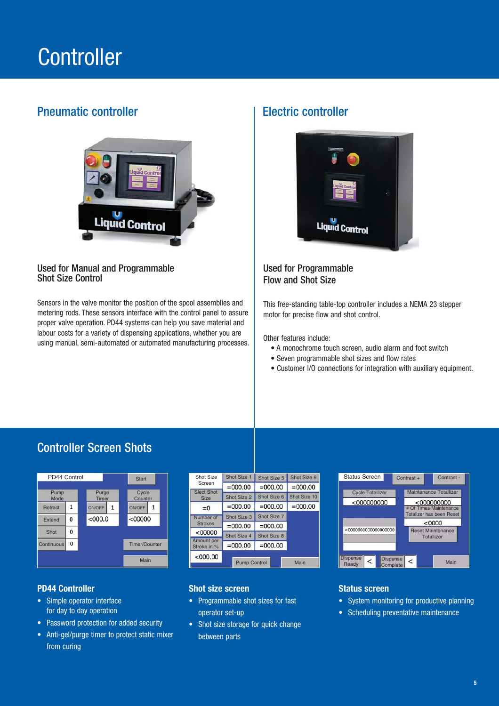# **Controller**

# Pneumatic controller example and the Electric controller



# Used for Manual and Programmable Shot Size Control

Sensors in the valve monitor the position of the spool assemblies and metering rods. These sensors interface with the control panel to assure proper valve operation. PD44 systems can help you save material and labour costs for a variety of dispensing applications, whether you are using manual, semi-automated or automated manufacturing processes.



# Used for Programmable Flow and Shot Size

This free-standing table-top controller includes a NEMA 23 stepper motor for precise flow and shot control.

Other features include:

- A monochrome touch screen, audio alarm and foot switch
- Seven programmable shot sizes and flow rates
- Customer I/O connections for integration with auxiliary equipment.

# Controller Screen Shots



## **PD44 Controller**

- Simple operator interface for day to day operation
- Password protection for added security
- Anti-gel/purge timer to protect static mixer from curing

| Shot Size<br>Screen              | Shot Size 1 | Shot Size 5 | Shot Size 9  |
|----------------------------------|-------------|-------------|--------------|
|                                  | $=000.00$   | $=000.00$   | $=000.00$    |
| <b>Slect Shot</b><br><b>Size</b> | Shot Size 2 | Shot Size 6 | Shot Size 10 |
| $= 0$                            | $=000.00$   | $=000.00$   | $=000.00$    |
| Number of<br><b>Strokes</b>      | Shot Size 3 | Shot Size 7 |              |
|                                  | $=000.00$   | $=000.00$   |              |
| < 00000                          | Shot Size 4 | Shot Size 8 |              |
| Amount per<br>Stroke in %        | $=000.00$   | $=000.00$   |              |
| $<$ 000.00                       |             |             | Main         |
| <b>Pump Control</b>              |             |             |              |

### **Shot size screen**

- Programmable shot sizes for fast operator set-up
- Shot size storage for quick change between parts



## **Status screen**

- System monitoring for productive planning
- Scheduling preventative maintenance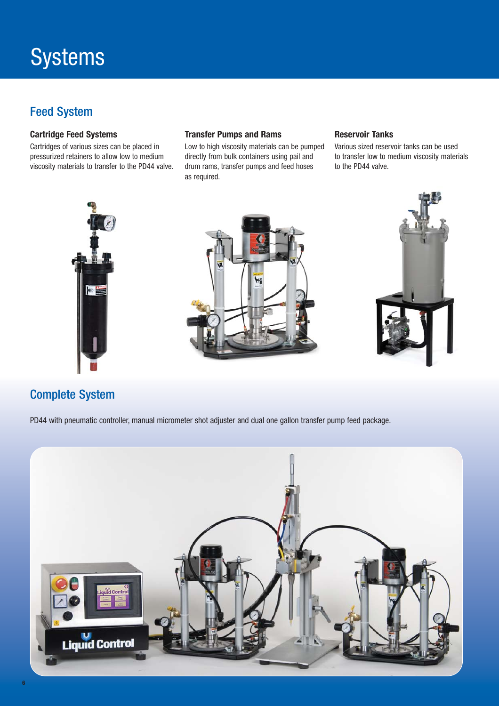# Feed System

# **Cartridge Feed Systems**

Cartridges of various sizes can be placed in pressurized retainers to allow low to medium viscosity materials to transfer to the PD44 valve.

### **Transfer Pumps and Rams**

Low to high viscosity materials can be pumped directly from bulk containers using pail and drum rams, transfer pumps and feed hoses as required.

## **Reservoir Tanks**

Various sized reservoir tanks can be used to transfer low to medium viscosity materials to the PD44 valve.







# Complete System

PD44 with pneumatic controller, manual micrometer shot adjuster and dual one gallon transfer pump feed package.

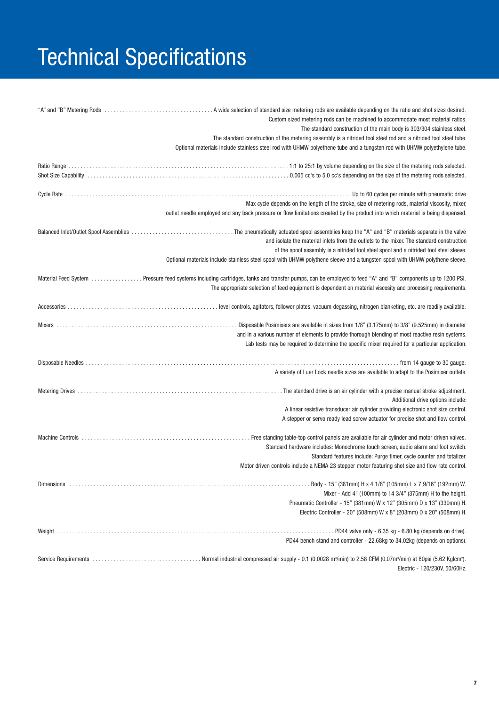# Technical Specifications

| Custom sized metering rods can be machined to accommodate most material ratios.<br>The standard construction of the main body is 303/304 stainless steel.<br>The standard construction of the metering assembly is a nitrided tool steel rod and a nitrided tool steel tube.                                                                                      |
|-------------------------------------------------------------------------------------------------------------------------------------------------------------------------------------------------------------------------------------------------------------------------------------------------------------------------------------------------------------------|
| Optional materials include stainless steel rod with UHMW polyethene tube and a tungsten rod with UHMW polyethylene tube.                                                                                                                                                                                                                                          |
|                                                                                                                                                                                                                                                                                                                                                                   |
| Max cycle depends on the length of the stroke, size of metering rods, material viscosity, mixer,<br>outlet needle employed and any back pressure or flow limitations created by the product into which material is being dispensed.                                                                                                                               |
| and isolate the material inlets from the outlets to the mixer. The standard construction<br>of the spool assembly is a nitrided tool steel spool and a nitrided tool steel sleeve.<br>Optional materials include stainless steel spool with UHMW polythene sleeve and a tungsten spool with UHMW polythene sleeve.                                                |
| Material Feed System  Pressure feed systems including cartridges, tanks and transfer pumps, can be employed to feed "A" and "B" components up to 1200 PSI.<br>The appropriate selection of feed equipment is dependent on material viscosity and processing requirements.                                                                                         |
|                                                                                                                                                                                                                                                                                                                                                                   |
| and in a various number of elements to provide thorough blending of most reactive resin systems.<br>Lab tests may be required to determine the specific mixer required for a particular application.                                                                                                                                                              |
| A variety of Luer Lock needle sizes are available to adapt to the Posimixer outlets.                                                                                                                                                                                                                                                                              |
| Additional drive options include:                                                                                                                                                                                                                                                                                                                                 |
| A linear resistive transducer air cylinder providing electronic shot size control.<br>A stepper or servo ready lead screw actuator for precise shot and flow control.                                                                                                                                                                                             |
| . Free standing table-top control panels are available for air cylinder and motor driven valves.<br>Standard hardware includes: Monochrome touch screen, audio alarm and foot switch.<br>Standard features include: Purge timer, cycle counter and totalizer.<br>Motor driven controls include a NEMA 23 stepper motor featuring shot size and flow rate control. |
|                                                                                                                                                                                                                                                                                                                                                                   |
| Mixer - Add 4" (100mm) to 14 3/4" (375mm) H to the height.                                                                                                                                                                                                                                                                                                        |
| Pneumatic Controller - 15" (381mm) W x 12" (305mm) D x 13" (330mm) H.                                                                                                                                                                                                                                                                                             |
| Electric Controller - 20" (508mm) W x 8" (203mm) D x 20" (508mm) H.                                                                                                                                                                                                                                                                                               |
| PD44 bench stand and controller - 22.68kg to 34.02kg (depends on options).                                                                                                                                                                                                                                                                                        |
| Electric - 120/230V, 50/60Hz.                                                                                                                                                                                                                                                                                                                                     |